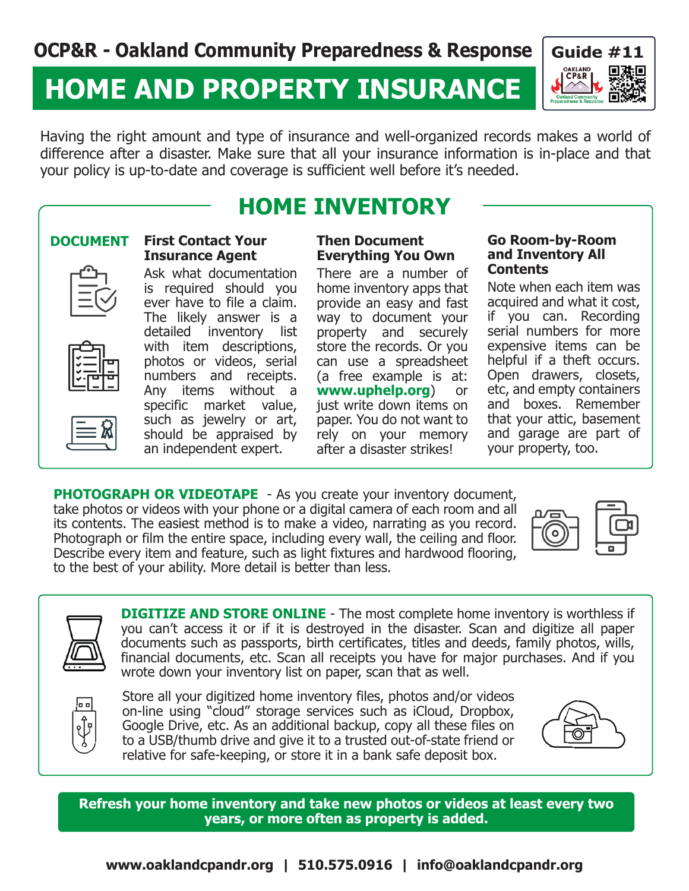# **HOME AND PROPERTY INSURANCE**



Having the right amount and type of insurance and well-organized records makes a world of difference after a disaster. Make sure that all your insurance information is in-place and that your policy is up-to-date and coverage is sufficient well before it's needed.

## **HOME INVENTORY**

#### **DOCUMENT First Contact Your Insurance Agent**

Ask what documentation is required should you ever have to file a claim. The likely answer is a detailed inventory list with item descriptions, photos or videos, serial numbers and receipts. Any items without a specific market value, such as jewelry or art, should be appraised by an independent expert.

### **Then Document Everything You Own**

There are a number of home inventory apps that provide an easy and fast way to document your property and securely store the records. Or you can use a spreadsheet (a free example is at: **www.uphelp.org**) or just write down items on paper. You do not want to rely on your memory after a disaster strikes!

#### **Go Room-by-Room and Inventory All Contents**

Note when each item was acquired and what it cost, if you can. Recording serial numbers for more expensive items can be helpful if a theft occurs. Open drawers, closets, etc, and empty containers and boxes. Remember that your attic, basement and garage are part of your property, too.

**PHOTOGRAPH OR VIDEOTAPE** - As you create your inventory document, take photos or videos with your phone or a digital camera of each room and all its contents. The easiest method is to make a video, narrating as you record. Photograph or film the entire space, including every wall, the ceiling and floor. Describe every item and feature, such as light fixtures and hardwood flooring, to the best of your ability. More detail is better than less.



**DIGITIZE AND STORE ONLINE** - The most complete home inventory is worthless if you can't access it or if it is destroyed in the disaster. Scan and digitize all paper documents such as passports, birth certificates, titles and deeds, family photos, wills, financial documents, etc. Scan all receipts you have for major purchases. And if you wrote down your inventory list on paper, scan that as well.



Store all your digitized home inventory files, photos and/or videos on-line using "cloud" storage services such as iCloud, Dropbox, Google Drive, etc. As an additional backup, copy all these files on to a USB/thumb drive and give it to a trusted out-of-state friend or relative for safe-keeping, or store it in a bank safe deposit box.



**Refresh your home inventory and take new photos or videos at least every two years, or more often as property is added.**